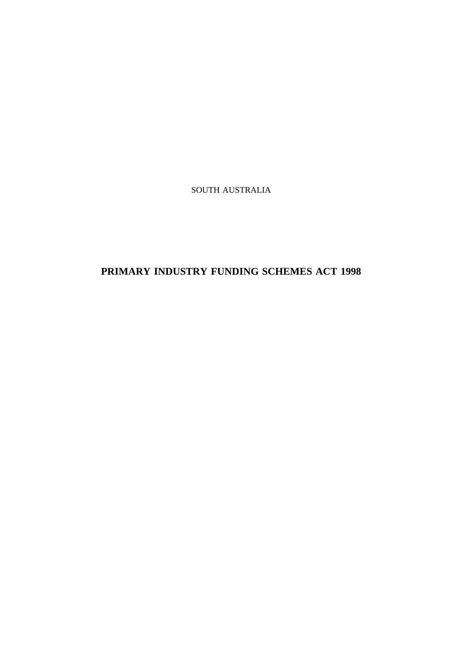SOUTH AUSTRALIA

# **PRIMARY INDUSTRY FUNDING SCHEMES ACT 1998**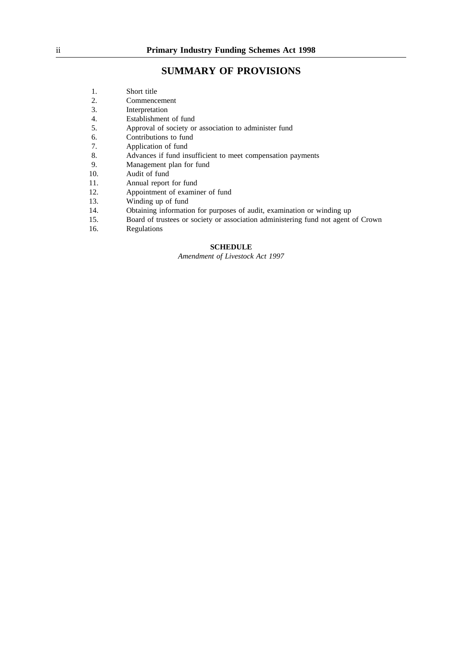## **SUMMARY OF PROVISIONS**

- 2. Commencement<br>3. Interpretation
- **Interpretation**
- 4. Establishment of fund<br>5. Approval of society or
- Approval of society or association to administer fund
- 6. Contributions to fund
- 7. Application of fund
- 8. Advances if fund insufficient to meet compensation payments
- 9. Management plan for fund
- 10. Audit of fund
- 11. Annual report for fund
- 12. Appointment of examiner of fund<br>13. Winding up of fund
- Winding up of fund
- 14. Obtaining information for purposes of audit, examination or winding up
- 15. Board of trustees or society or association administering fund not agent of Crown
- 16. Regulations

## **SCHEDULE**

*Amendment of Livestock Act 1997*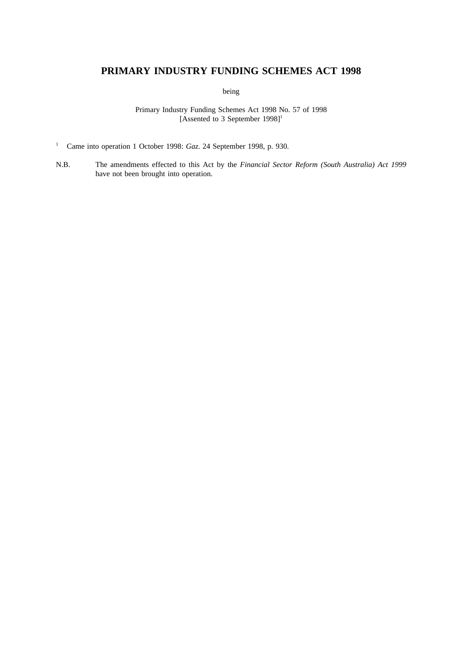## **PRIMARY INDUSTRY FUNDING SCHEMES ACT 1998**

being

Primary Industry Funding Schemes Act 1998 No. 57 of 1998 [Assented to 3 September 1998]<sup>1</sup>

- <sup>1</sup> Came into operation 1 October 1998: *Gaz*. 24 September 1998, p. 930.
- N.B. The amendments effected to this Act by the *Financial Sector Reform (South Australia) Act 1999* have not been brought into operation.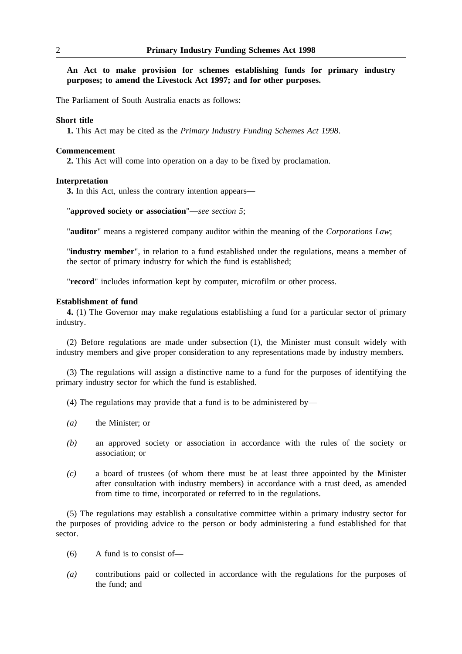**An Act to make provision for schemes establishing funds for primary industry purposes; to amend the Livestock Act 1997; and for other purposes.**

The Parliament of South Australia enacts as follows:

#### **Short title**

**1.** This Act may be cited as the *Primary Industry Funding Schemes Act 1998*.

## **Commencement**

**2.** This Act will come into operation on a day to be fixed by proclamation.

## **Interpretation**

**3.** In this Act, unless the contrary intention appears—

"**approved society or association**"—*see section 5*;

"**auditor**" means a registered company auditor within the meaning of the *Corporations Law*;

"**industry member**", in relation to a fund established under the regulations, means a member of the sector of primary industry for which the fund is established;

"**record**" includes information kept by computer, microfilm or other process.

## **Establishment of fund**

**4.** (1) The Governor may make regulations establishing a fund for a particular sector of primary industry.

(2) Before regulations are made under subsection (1), the Minister must consult widely with industry members and give proper consideration to any representations made by industry members.

(3) The regulations will assign a distinctive name to a fund for the purposes of identifying the primary industry sector for which the fund is established.

- (4) The regulations may provide that a fund is to be administered by—
- *(a)* the Minister; or
- *(b)* an approved society or association in accordance with the rules of the society or association; or
- *(c)* a board of trustees (of whom there must be at least three appointed by the Minister after consultation with industry members) in accordance with a trust deed, as amended from time to time, incorporated or referred to in the regulations.

(5) The regulations may establish a consultative committee within a primary industry sector for the purposes of providing advice to the person or body administering a fund established for that sector.

- (6) A fund is to consist of—
- *(a)* contributions paid or collected in accordance with the regulations for the purposes of the fund; and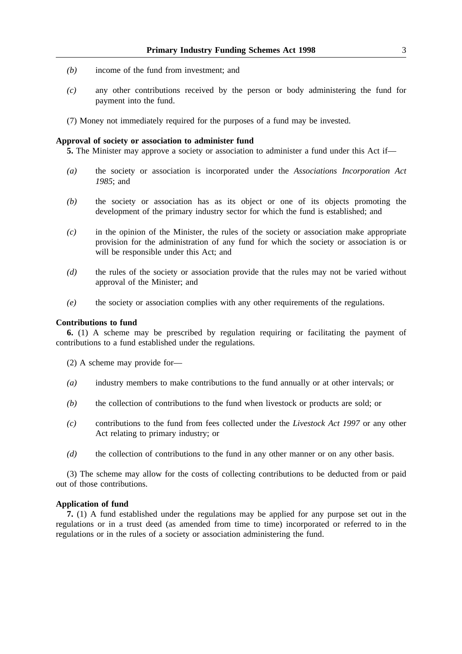- *(b)* income of the fund from investment; and
- *(c)* any other contributions received by the person or body administering the fund for payment into the fund.
- (7) Money not immediately required for the purposes of a fund may be invested.

#### **Approval of society or association to administer fund**

**5.** The Minister may approve a society or association to administer a fund under this Act if—

- *(a)* the society or association is incorporated under the *Associations Incorporation Act 1985*; and
- *(b)* the society or association has as its object or one of its objects promoting the development of the primary industry sector for which the fund is established; and
- *(c)* in the opinion of the Minister, the rules of the society or association make appropriate provision for the administration of any fund for which the society or association is or will be responsible under this Act; and
- *(d)* the rules of the society or association provide that the rules may not be varied without approval of the Minister; and
- *(e)* the society or association complies with any other requirements of the regulations.

## **Contributions to fund**

**6.** (1) A scheme may be prescribed by regulation requiring or facilitating the payment of contributions to a fund established under the regulations.

- (2) A scheme may provide for—
- *(a)* industry members to make contributions to the fund annually or at other intervals; or
- *(b)* the collection of contributions to the fund when livestock or products are sold; or
- *(c)* contributions to the fund from fees collected under the *Livestock Act 1997* or any other Act relating to primary industry; or
- *(d)* the collection of contributions to the fund in any other manner or on any other basis.

(3) The scheme may allow for the costs of collecting contributions to be deducted from or paid out of those contributions.

## **Application of fund**

**7.** (1) A fund established under the regulations may be applied for any purpose set out in the regulations or in a trust deed (as amended from time to time) incorporated or referred to in the regulations or in the rules of a society or association administering the fund.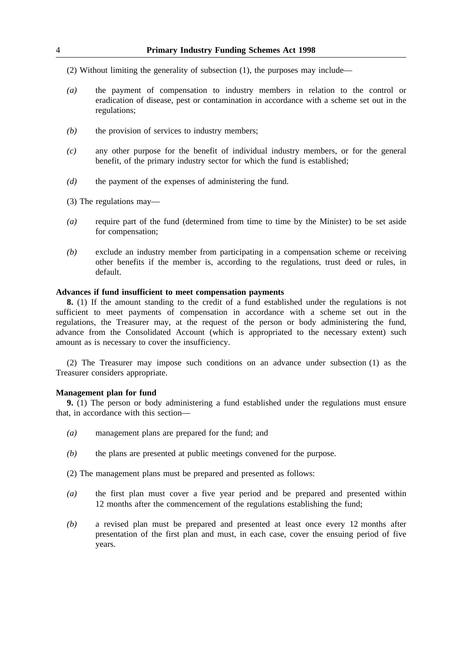- (2) Without limiting the generality of subsection (1), the purposes may include—
- *(a)* the payment of compensation to industry members in relation to the control or eradication of disease, pest or contamination in accordance with a scheme set out in the regulations;
- *(b)* the provision of services to industry members;
- *(c)* any other purpose for the benefit of individual industry members, or for the general benefit, of the primary industry sector for which the fund is established;
- *(d)* the payment of the expenses of administering the fund.
- (3) The regulations may—
- *(a)* require part of the fund (determined from time to time by the Minister) to be set aside for compensation;
- *(b)* exclude an industry member from participating in a compensation scheme or receiving other benefits if the member is, according to the regulations, trust deed or rules, in default.

## **Advances if fund insufficient to meet compensation payments**

**8.** (1) If the amount standing to the credit of a fund established under the regulations is not sufficient to meet payments of compensation in accordance with a scheme set out in the regulations, the Treasurer may, at the request of the person or body administering the fund, advance from the Consolidated Account (which is appropriated to the necessary extent) such amount as is necessary to cover the insufficiency.

(2) The Treasurer may impose such conditions on an advance under subsection (1) as the Treasurer considers appropriate.

## **Management plan for fund**

**9.** (1) The person or body administering a fund established under the regulations must ensure that, in accordance with this section—

- *(a)* management plans are prepared for the fund; and
- *(b)* the plans are presented at public meetings convened for the purpose.
- (2) The management plans must be prepared and presented as follows:
- *(a)* the first plan must cover a five year period and be prepared and presented within 12 months after the commencement of the regulations establishing the fund;
- *(b)* a revised plan must be prepared and presented at least once every 12 months after presentation of the first plan and must, in each case, cover the ensuing period of five years.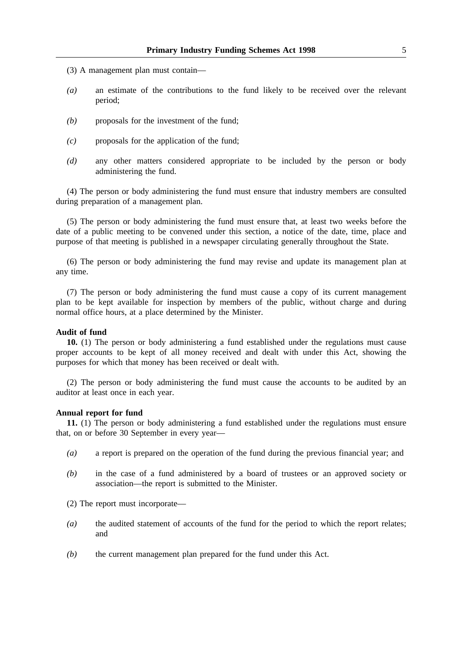- (3) A management plan must contain—
- *(a)* an estimate of the contributions to the fund likely to be received over the relevant period;
- *(b)* proposals for the investment of the fund;
- *(c)* proposals for the application of the fund;
- *(d)* any other matters considered appropriate to be included by the person or body administering the fund.

(4) The person or body administering the fund must ensure that industry members are consulted during preparation of a management plan.

(5) The person or body administering the fund must ensure that, at least two weeks before the date of a public meeting to be convened under this section, a notice of the date, time, place and purpose of that meeting is published in a newspaper circulating generally throughout the State.

(6) The person or body administering the fund may revise and update its management plan at any time.

(7) The person or body administering the fund must cause a copy of its current management plan to be kept available for inspection by members of the public, without charge and during normal office hours, at a place determined by the Minister.

## **Audit of fund**

**10.** (1) The person or body administering a fund established under the regulations must cause proper accounts to be kept of all money received and dealt with under this Act, showing the purposes for which that money has been received or dealt with.

(2) The person or body administering the fund must cause the accounts to be audited by an auditor at least once in each year.

## **Annual report for fund**

**11.** (1) The person or body administering a fund established under the regulations must ensure that, on or before 30 September in every year—

- *(a)* a report is prepared on the operation of the fund during the previous financial year; and
- *(b)* in the case of a fund administered by a board of trustees or an approved society or association—the report is submitted to the Minister.

(2) The report must incorporate—

- *(a)* the audited statement of accounts of the fund for the period to which the report relates; and
- *(b)* the current management plan prepared for the fund under this Act.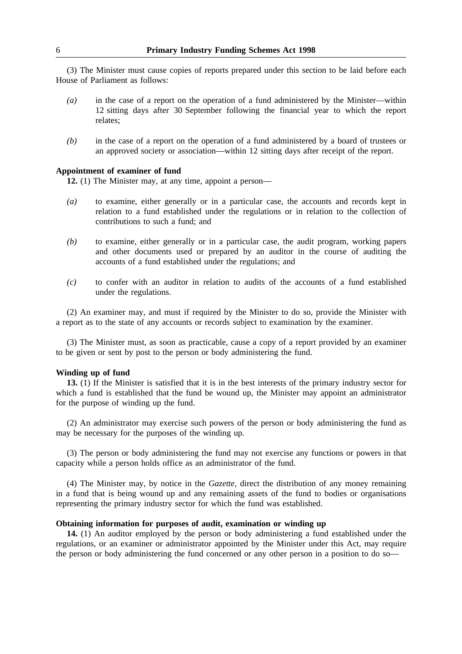(3) The Minister must cause copies of reports prepared under this section to be laid before each House of Parliament as follows:

- *(a)* in the case of a report on the operation of a fund administered by the Minister—within 12 sitting days after 30 September following the financial year to which the report relates;
- *(b)* in the case of a report on the operation of a fund administered by a board of trustees or an approved society or association—within 12 sitting days after receipt of the report.

## **Appointment of examiner of fund**

**12.** (1) The Minister may, at any time, appoint a person—

- *(a)* to examine, either generally or in a particular case, the accounts and records kept in relation to a fund established under the regulations or in relation to the collection of contributions to such a fund; and
- *(b)* to examine, either generally or in a particular case, the audit program, working papers and other documents used or prepared by an auditor in the course of auditing the accounts of a fund established under the regulations; and
- *(c)* to confer with an auditor in relation to audits of the accounts of a fund established under the regulations.

(2) An examiner may, and must if required by the Minister to do so, provide the Minister with a report as to the state of any accounts or records subject to examination by the examiner.

(3) The Minister must, as soon as practicable, cause a copy of a report provided by an examiner to be given or sent by post to the person or body administering the fund.

## **Winding up of fund**

**13.** (1) If the Minister is satisfied that it is in the best interests of the primary industry sector for which a fund is established that the fund be wound up, the Minister may appoint an administrator for the purpose of winding up the fund.

(2) An administrator may exercise such powers of the person or body administering the fund as may be necessary for the purposes of the winding up.

(3) The person or body administering the fund may not exercise any functions or powers in that capacity while a person holds office as an administrator of the fund.

(4) The Minister may, by notice in the *Gazette*, direct the distribution of any money remaining in a fund that is being wound up and any remaining assets of the fund to bodies or organisations representing the primary industry sector for which the fund was established.

#### **Obtaining information for purposes of audit, examination or winding up**

**14.** (1) An auditor employed by the person or body administering a fund established under the regulations, or an examiner or administrator appointed by the Minister under this Act, may require the person or body administering the fund concerned or any other person in a position to do so—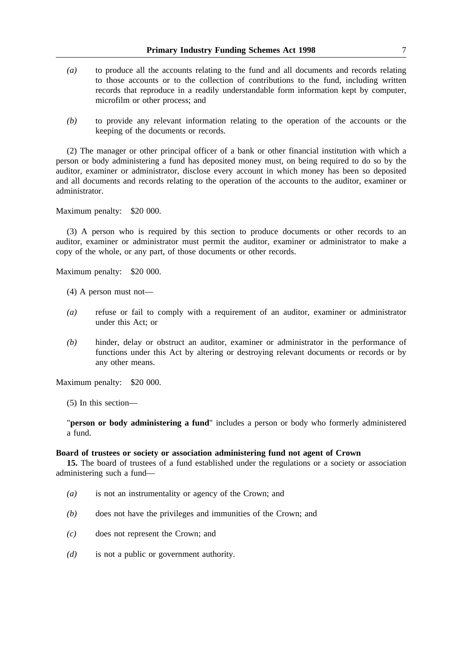- *(a)* to produce all the accounts relating to the fund and all documents and records relating to those accounts or to the collection of contributions to the fund, including written records that reproduce in a readily understandable form information kept by computer, microfilm or other process; and
- *(b)* to provide any relevant information relating to the operation of the accounts or the keeping of the documents or records.

(2) The manager or other principal officer of a bank or other financial institution with which a person or body administering a fund has deposited money must, on being required to do so by the auditor, examiner or administrator, disclose every account in which money has been so deposited and all documents and records relating to the operation of the accounts to the auditor, examiner or administrator.

Maximum penalty: \$20 000.

(3) A person who is required by this section to produce documents or other records to an auditor, examiner or administrator must permit the auditor, examiner or administrator to make a copy of the whole, or any part, of those documents or other records.

Maximum penalty: \$20 000.

- (4) A person must not—
- *(a)* refuse or fail to comply with a requirement of an auditor, examiner or administrator under this Act; or
- *(b)* hinder, delay or obstruct an auditor, examiner or administrator in the performance of functions under this Act by altering or destroying relevant documents or records or by any other means.

Maximum penalty: \$20 000.

(5) In this section—

"**person or body administering a fund**" includes a person or body who formerly administered a fund.

#### **Board of trustees or society or association administering fund not agent of Crown**

**15.** The board of trustees of a fund established under the regulations or a society or association administering such a fund—

- *(a)* is not an instrumentality or agency of the Crown; and
- *(b)* does not have the privileges and immunities of the Crown; and
- *(c)* does not represent the Crown; and
- *(d)* is not a public or government authority.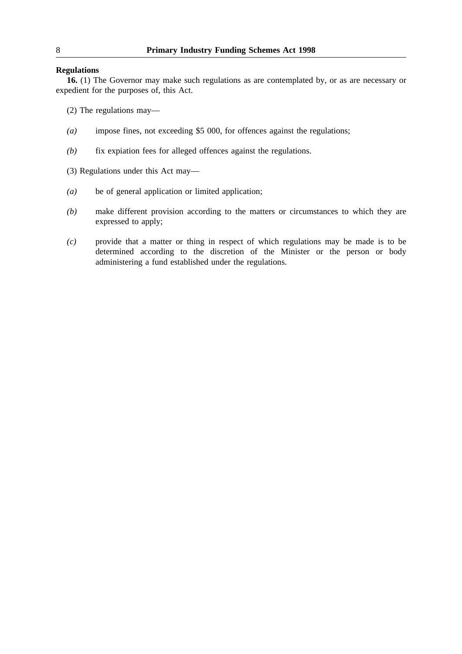## **Regulations**

**16.** (1) The Governor may make such regulations as are contemplated by, or as are necessary or expedient for the purposes of, this Act.

(2) The regulations may—

- *(a)* impose fines, not exceeding \$5 000, for offences against the regulations;
- *(b)* fix expiation fees for alleged offences against the regulations.

(3) Regulations under this Act may—

- *(a)* be of general application or limited application;
- *(b)* make different provision according to the matters or circumstances to which they are expressed to apply;
- *(c)* provide that a matter or thing in respect of which regulations may be made is to be determined according to the discretion of the Minister or the person or body administering a fund established under the regulations.